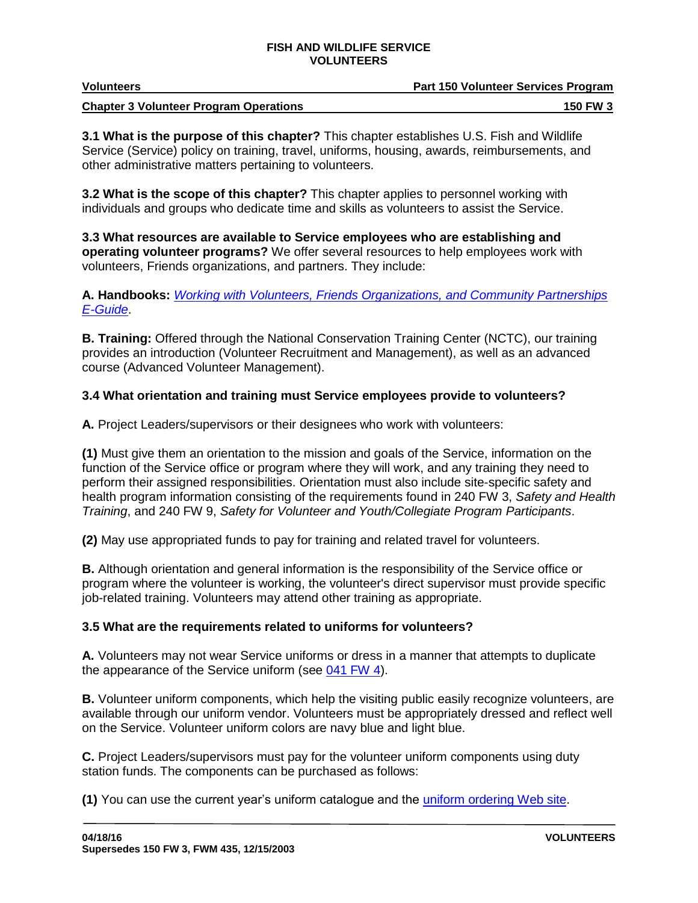| <b>Volunteers</b>                             | <b>Part 150 Volunteer Services Program</b> |
|-----------------------------------------------|--------------------------------------------|
| <b>Chapter 3 Volunteer Program Operations</b> | <b>150 FW 3</b>                            |

**3.1 What is the purpose of this chapter?** This chapter establishes U.S. Fish and Wildlife Service (Service) policy on training, travel, uniforms, housing, awards, reimbursements, and other administrative matters pertaining to volunteers.

**3.2 What is the scope of this chapter?** This chapter applies to personnel working with individuals and groups who dedicate time and skills as volunteers to assist the Service.

**3.3 What resources are available to Service employees who are establishing and operating volunteer programs?** We offer several resources to help employees work with volunteers, Friends organizations, and partners. They include:

**A. Handbooks:** *[Working with Volunteers, Friends Organizations, and Community Partnerships](http://www.fws.gov/refuges/vision/pdfs/workingwithvolfriendsorgcommpartnershipseguide.pdf)  [E-Guide](http://www.fws.gov/refuges/vision/pdfs/workingwithvolfriendsorgcommpartnershipseguide.pdf)*.

**B. Training:** Offered through the National Conservation Training Center (NCTC), our training provides an introduction (Volunteer Recruitment and Management), as well as an advanced course (Advanced Volunteer Management).

# **3.4 What orientation and training must Service employees provide to volunteers?**

**A.** Project Leaders/supervisors or their designees who work with volunteers:

**(1)** Must give them an orientation to the mission and goals of the Service, information on the function of the Service office or program where they will work, and any training they need to perform their assigned responsibilities. Orientation must also include site-specific safety and health program information consisting of the requirements found in 240 FW 3, *Safety and Health Training*, and 240 FW 9, *Safety for Volunteer and Youth/Collegiate Program Participants*.

**(2)** May use appropriated funds to pay for training and related travel for volunteers.

**B.** Although orientation and general information is the responsibility of the Service office or program where the volunteer is working, the volunteer's direct supervisor must provide specific job-related training. Volunteers may attend other training as appropriate.

# **3.5 What are the requirements related to uniforms for volunteers?**

**A.** Volunteers may not wear Service uniforms or dress in a manner that attempts to duplicate the appearance of the Service uniform (see [041 FW 4\)](http://policy.fws.gov/041fw4.html).

**B.** Volunteer uniform components, which help the visiting public easily recognize volunteers, are available through our uniform vendor. Volunteers must be appropriately dressed and reflect well on the Service. Volunteer uniform colors are navy blue and light blue.

**C.** Project Leaders/supervisors must pay for the volunteer uniform components using duty station funds. The components can be purchased as follows:

**(1)** You can use the current year's uniform catalogue and the [uniform ordering Web](http://www.vfsolutions.com/lma) site.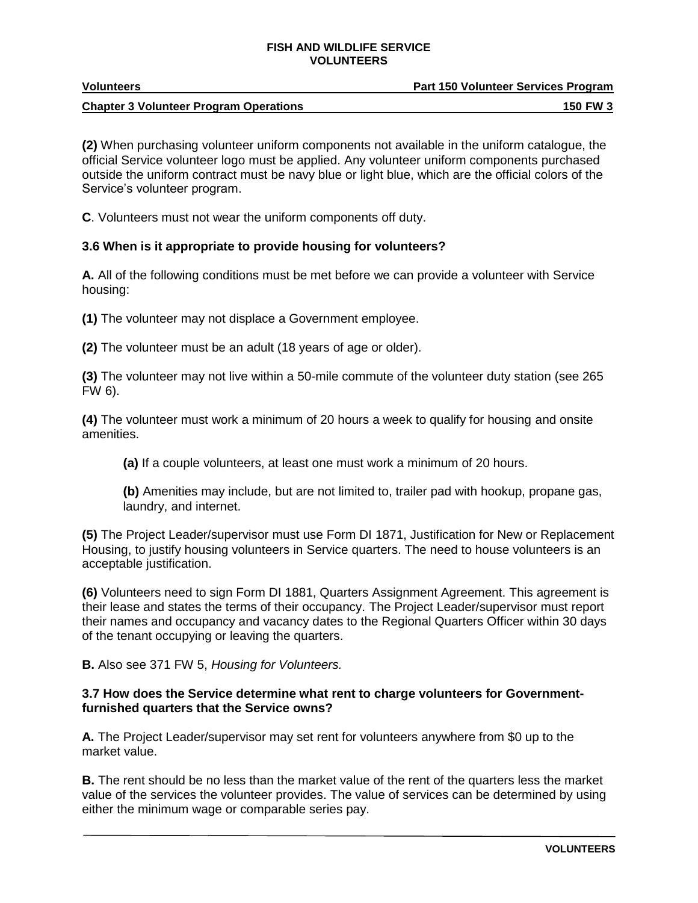| <b>Volunteers</b>                             | <b>Part 150 Volunteer Services Program</b> |
|-----------------------------------------------|--------------------------------------------|
| <b>Chapter 3 Volunteer Program Operations</b> | <b>150 FW 3</b>                            |

**(2)** When purchasing volunteer uniform components not available in the uniform catalogue, the official Service volunteer logo must be applied. Any volunteer uniform components purchased outside the uniform contract must be navy blue or light blue, which are the official colors of the Service's volunteer program.

**C**. Volunteers must not wear the uniform components off duty.

# **3.6 When is it appropriate to provide housing for volunteers?**

**A.** All of the following conditions must be met before we can provide a volunteer with Service housing:

**(1)** The volunteer may not displace a Government employee.

**(2)** The volunteer must be an adult (18 years of age or older).

**(3)** The volunteer may not live within a 50-mile commute of the volunteer duty station (see 265 FW 6).

**(4)** The volunteer must work a minimum of 20 hours a week to qualify for housing and onsite amenities.

**(a)** If a couple volunteers, at least one must work a minimum of 20 hours.

**(b)** Amenities may include, but are not limited to, trailer pad with hookup, propane gas, laundry, and internet.

**(5)** The Project Leader/supervisor must use Form DI 1871, Justification for New or Replacement Housing, to justify housing volunteers in Service quarters. The need to house volunteers is an acceptable justification.

**(6)** Volunteers need to sign Form DI 1881, Quarters Assignment Agreement. This agreement is their lease and states the terms of their occupancy. The Project Leader/supervisor must report their names and occupancy and vacancy dates to the Regional Quarters Officer within 30 days of the tenant occupying or leaving the quarters.

**B.** Also see 371 FW 5, *Housing for Volunteers.*

## **3.7 How does the Service determine what rent to charge volunteers for Governmentfurnished quarters that the Service owns?**

**A.** The Project Leader/supervisor may set rent for volunteers anywhere from \$0 up to the market value.

**B.** The rent should be no less than the market value of the rent of the quarters less the market value of the services the volunteer provides. The value of services can be determined by using either the minimum wage or comparable series pay.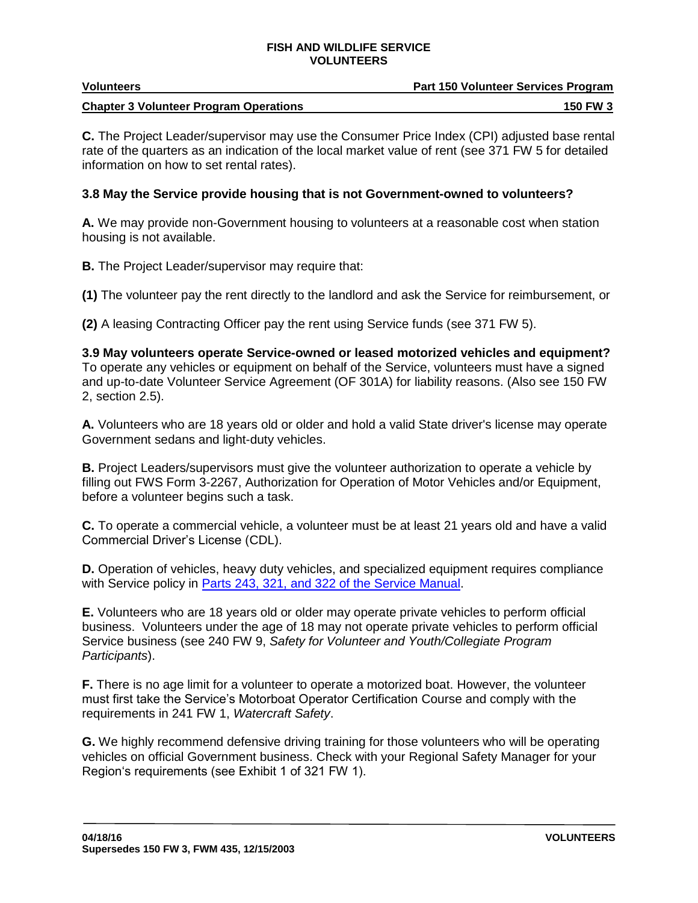| <b>Volunteers</b>                             | <b>Part 150 Volunteer Services Program</b> |
|-----------------------------------------------|--------------------------------------------|
| <b>Chapter 3 Volunteer Program Operations</b> | <b>150 FW 3</b>                            |

**C.** The Project Leader/supervisor may use the Consumer Price Index (CPI) adjusted base rental rate of the quarters as an indication of the local market value of rent (see 371 FW 5 for detailed information on how to set rental rates).

## **3.8 May the Service provide housing that is not Government-owned to volunteers?**

**A.** We may provide non-Government housing to volunteers at a reasonable cost when station housing is not available.

**B.** The Project Leader/supervisor may require that:

**(1)** The volunteer pay the rent directly to the landlord and ask the Service for reimbursement, or

**(2)** A leasing Contracting Officer pay the rent using Service funds (see 371 FW 5).

**3.9 May volunteers operate Service-owned or leased motorized vehicles and equipment?**  To operate any vehicles or equipment on behalf of the Service, volunteers must have a signed and up-to-date Volunteer Service Agreement (OF 301A) for liability reasons. (Also see 150 FW 2, section 2.5).

**A.** Volunteers who are 18 years old or older and hold a valid State driver's license may operate Government sedans and light-duty vehicles.

**B.** Project Leaders/supervisors must give the volunteer authorization to operate a vehicle by filling out FWS Form 3-2267, Authorization for Operation of Motor Vehicles and/or Equipment, before a volunteer begins such a task.

**C.** To operate a commercial vehicle, a volunteer must be at least 21 years old and have a valid Commercial Driver's License (CDL).

**D.** Operation of vehicles, heavy duty vehicles, and specialized equipment requires compliance with Service policy in [Parts 243,](http://www.fws.gov/policy/ser200.html) 321, and 322 of the Service Manual.

**E.** Volunteers who are 18 years old or older may operate private vehicles to perform official business. Volunteers under the age of 18 may not operate private vehicles to perform official Service business (see 240 FW 9, *Safety for Volunteer and Youth/Collegiate Program Participants*).

**F.** There is no age limit for a volunteer to operate a motorized boat. However, the volunteer must first take the Service's Motorboat Operator Certification Course and comply with the requirements in 241 FW 1, *Watercraft Safety*.

**G.** We highly recommend defensive driving training for those volunteers who will be operating vehicles on official Government business. Check with your Regional Safety Manager for your Region's requirements (see Exhibit 1 of 321 FW 1).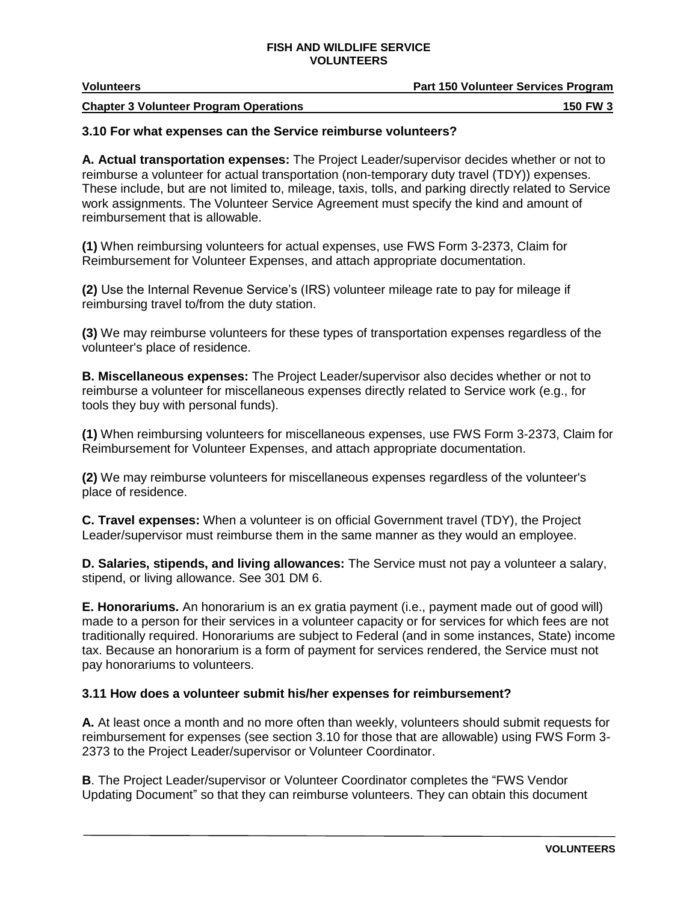| Volunteers | Part 150 Volunteer Services Program |  |
|------------|-------------------------------------|--|
| __         |                                     |  |

#### **Chapter 3 Volunteer Program Operations 150 FW 3** 150 FW 3

# **3.10 For what expenses can the Service reimburse volunteers?**

**A. Actual transportation expenses:** The Project Leader/supervisor decides whether or not to reimburse a volunteer for actual transportation (non-temporary duty travel (TDY)) expenses. These include, but are not limited to, mileage, taxis, tolls, and parking directly related to Service work assignments. The Volunteer Service Agreement must specify the kind and amount of reimbursement that is allowable.

**(1)** When reimbursing volunteers for actual expenses, use FWS Form 3-2373, Claim for Reimbursement for Volunteer Expenses, and attach appropriate documentation.

**(2)** Use the Internal Revenue Service's (IRS) volunteer mileage rate to pay for mileage if reimbursing travel to/from the duty station.

**(3)** We may reimburse volunteers for these types of transportation expenses regardless of the volunteer's place of residence.

**B. Miscellaneous expenses:** The Project Leader/supervisor also decides whether or not to reimburse a volunteer for miscellaneous expenses directly related to Service work (e.g., for tools they buy with personal funds).

**(1)** When reimbursing volunteers for miscellaneous expenses, use FWS Form 3-2373, Claim for Reimbursement for Volunteer Expenses, and attach appropriate documentation.

**(2)** We may reimburse volunteers for miscellaneous expenses regardless of the volunteer's place of residence.

**C. Travel expenses:** When a volunteer is on official Government travel (TDY), the Project Leader/supervisor must reimburse them in the same manner as they would an employee.

**D. Salaries, stipends, and living allowances:** The Service must not pay a volunteer a salary, stipend, or living allowance. See 301 DM 6.

**E. Honorariums.** An honorarium is an ex gratia payment (i.e., payment made out of good will) made to a person for their services in a volunteer capacity or for services for which fees are not traditionally required. Honorariums are subject to Federal (and in some instances, State) income tax. Because an honorarium is a form of payment for services rendered, the Service must not pay honorariums to volunteers.

# **3.11 How does a volunteer submit his/her expenses for reimbursement?**

**A.** At least once a month and no more often than weekly, volunteers should submit requests for reimbursement for expenses (see section 3.10 for those that are allowable) using FWS Form 3- 2373 to the Project Leader/supervisor or Volunteer Coordinator.

**B**. The Project Leader/supervisor or Volunteer Coordinator completes the "FWS Vendor Updating Document" so that they can reimburse volunteers. They can obtain this document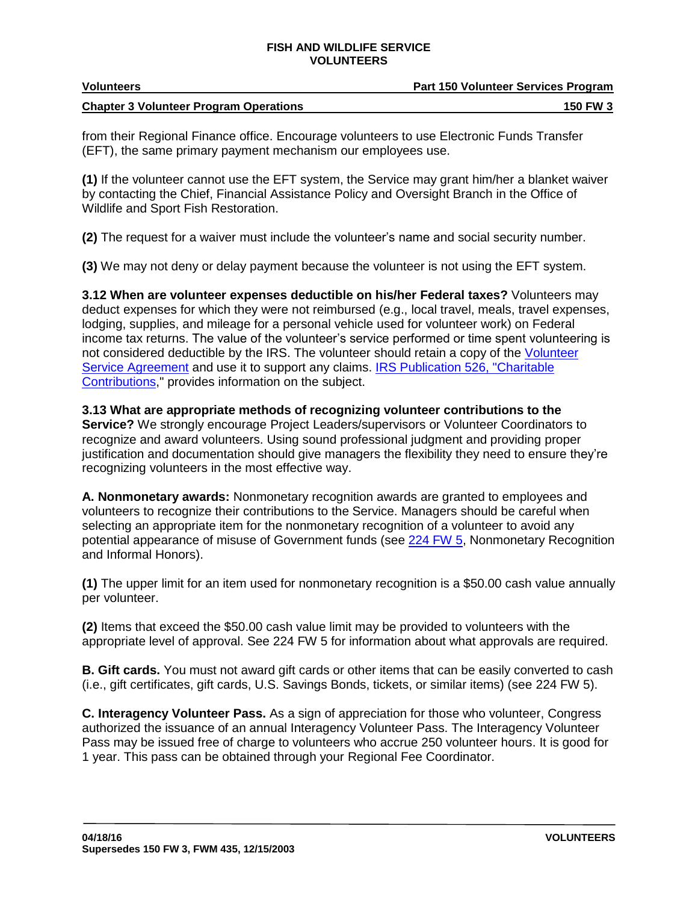| <b>Volunteers</b>                             | <b>Part 150 Volunteer Services Program</b> |
|-----------------------------------------------|--------------------------------------------|
| <b>Chapter 3 Volunteer Program Operations</b> | <b>150 FW 3</b>                            |

from their Regional Finance office. Encourage volunteers to use Electronic Funds Transfer (EFT), the same primary payment mechanism our employees use.

**(1)** If the volunteer cannot use the EFT system, the Service may grant him/her a blanket waiver by contacting the Chief, Financial Assistance Policy and Oversight Branch in the Office of Wildlife and Sport Fish Restoration.

**(2)** The request for a waiver must include the volunteer's name and social security number.

**(3)** We may not deny or delay payment because the volunteer is not using the EFT system.

**3.12 When are volunteer expenses deductible on his/her Federal taxes?** Volunteers may deduct expenses for which they were not reimbursed (e.g., local travel, meals, travel expenses, lodging, supplies, and mileage for a personal vehicle used for volunteer work) on Federal income tax returns. The value of the volunteer's service performed or time spent volunteering is not considered deductible by the IRS. The volunteer should retain a copy of the [Volunteer](http://www.fws.gov/policy/VSAchangenotice.html)  [Service Agreement](http://www.fws.gov/policy/VSAchangenotice.html) and use it to support any claims. IRS Publication 526, "Charitable [Contributions,](http://www.irs.gov/pub/irs-pdf/p526.pdf)" provides information on the subject.

**3.13 What are appropriate methods of recognizing volunteer contributions to the Service?** We strongly encourage Project Leaders/supervisors or Volunteer Coordinators to recognize and award volunteers. Using sound professional judgment and providing proper justification and documentation should give managers the flexibility they need to ensure they're recognizing volunteers in the most effective way.

**A. Nonmonetary awards:** Nonmonetary recognition awards are granted to employees and volunteers to recognize their contributions to the Service. Managers should be careful when selecting an appropriate item for the nonmonetary recognition of a volunteer to avoid any potential appearance of misuse of Government funds (see [224 FW 5,](http://www.fws.gov/policy/224fw5.html) Nonmonetary Recognition and Informal Honors).

**(1)** The upper limit for an item used for nonmonetary recognition is a \$50.00 cash value annually per volunteer.

**(2)** Items that exceed the \$50.00 cash value limit may be provided to volunteers with the appropriate level of approval. See 224 FW 5 for information about what approvals are required.

**B. Gift cards.** You must not award gift cards or other items that can be easily converted to cash (i.e., gift certificates, gift cards, U.S. Savings Bonds, tickets, or similar items) (see 224 FW 5).

**C. Interagency Volunteer Pass.** As a sign of appreciation for those who volunteer, Congress authorized the issuance of an annual Interagency Volunteer Pass. The Interagency Volunteer Pass may be issued free of charge to volunteers who accrue 250 volunteer hours. It is good for 1 year. This pass can be obtained through your Regional Fee Coordinator.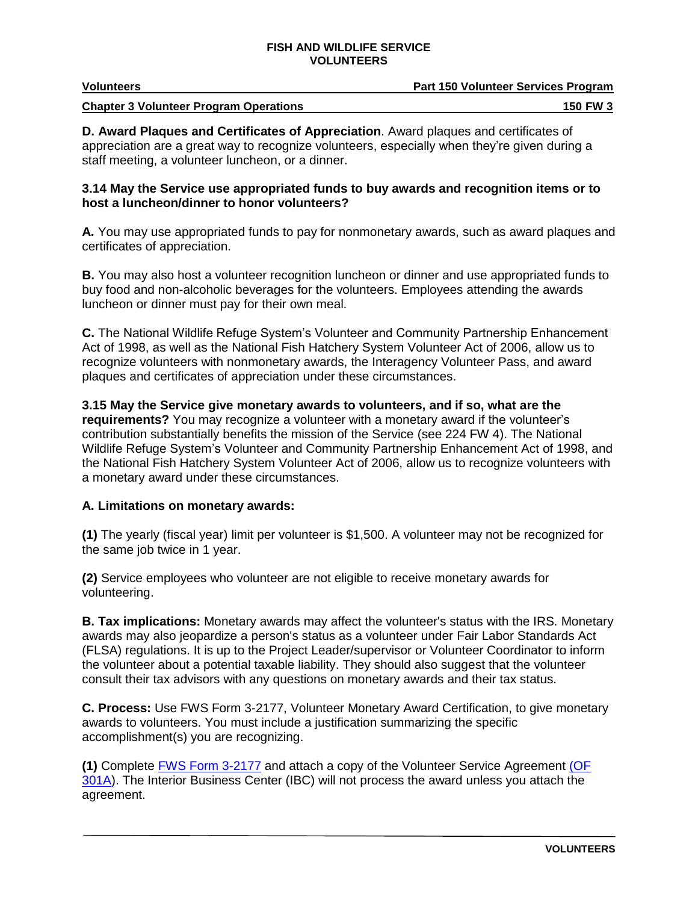| <b>Volunteers</b>                             | <b>Part 150 Volunteer Services Program</b> |
|-----------------------------------------------|--------------------------------------------|
| <b>Chapter 3 Volunteer Program Operations</b> | <b>150 FW 3</b>                            |

**D. Award Plaques and Certificates of Appreciation**. Award plaques and certificates of appreciation are a great way to recognize volunteers, especially when they're given during a staff meeting, a volunteer luncheon, or a dinner.

## **3.14 May the Service use appropriated funds to buy awards and recognition items or to host a luncheon/dinner to honor volunteers?**

**A.** You may use appropriated funds to pay for nonmonetary awards, such as award plaques and certificates of appreciation.

**B.** You may also host a volunteer recognition luncheon or dinner and use appropriated funds to buy food and non-alcoholic beverages for the volunteers. Employees attending the awards luncheon or dinner must pay for their own meal.

**C.** The National Wildlife Refuge System's Volunteer and Community Partnership Enhancement Act of 1998, as well as the National Fish Hatchery System Volunteer Act of 2006, allow us to recognize volunteers with nonmonetary awards, the Interagency Volunteer Pass, and award plaques and certificates of appreciation under these circumstances.

**3.15 May the Service give monetary awards to volunteers, and if so, what are the requirements?** You may recognize a volunteer with a monetary award if the volunteer's contribution substantially benefits the mission of the Service (see 224 FW 4). The National Wildlife Refuge System's Volunteer and Community Partnership Enhancement Act of 1998, and the National Fish Hatchery System Volunteer Act of 2006, allow us to recognize volunteers with a monetary award under these circumstances.

# **A. Limitations on monetary awards:**

**(1)** The yearly (fiscal year) limit per volunteer is \$1,500. A volunteer may not be recognized for the same job twice in 1 year.

**(2)** Service employees who volunteer are not eligible to receive monetary awards for volunteering.

**B. Tax implications:** Monetary awards may affect the volunteer's status with the IRS. Monetary awards may also jeopardize a person's status as a volunteer under Fair Labor Standards Act (FLSA) regulations. It is up to the Project Leader/supervisor or Volunteer Coordinator to inform the volunteer about a potential taxable liability. They should also suggest that the volunteer consult their tax advisors with any questions on monetary awards and their tax status.

**C. Process:** Use FWS Form 3-2177, Volunteer Monetary Award Certification, to give monetary awards to volunteers. You must include a justification summarizing the specific accomplishment(s) you are recognizing.

**(1)** Complete [FWS Form 3-2177](http://forms.fws.gov/3-2177.pdf) and attach a copy of the Volunteer Service Agreement [\(OF](http://www.fws.gov/policy/VSAchangenotice.html) 301A). The Interior Business Center (IBC) will not process the award unless you attach the agreement.